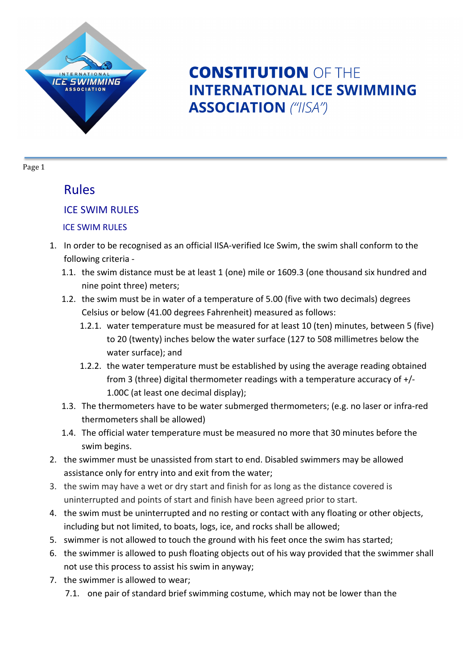

# **CONSTITUTION OF THE INTERNATIONAL ICE SWIMMING ASSOCIATION** ("IISA")

Page 1

### Rules

### **ICE SWIM RULES**

#### **ICE SWIM RULES**

- 1. In order to be recognised as an official IISA-verified Ice Swim, the swim shall conform to the following criteria -
	- 1.1. the swim distance must be at least 1 (one) mile or 1609.3 (one thousand six hundred and nine point three) meters;
	- 1.2. the swim must be in water of a temperature of 5.00 (five with two decimals) degrees Celsius or below (41.00 degrees Fahrenheit) measured as follows:
		- 1.2.1. water temperature must be measured for at least 10 (ten) minutes, between 5 (five) to 20 (twenty) inches below the water surface (127 to 508 millimetres below the water surface); and
		- 1.2.2. the water temperature must be established by using the average reading obtained from 3 (three) digital thermometer readings with a temperature accuracy of  $+/-$ 1.00C (at least one decimal display);
	- 1.3. The thermometers have to be water submerged thermometers; (e.g. no laser or infra-red thermometers shall be allowed)
	- 1.4. The official water temperature must be measured no more that 30 minutes before the swim begins.
- 2. the swimmer must be unassisted from start to end. Disabled swimmers may be allowed assistance only for entry into and exit from the water;
- 3. the swim may have a wet or dry start and finish for as long as the distance covered is uninterrupted and points of start and finish have been agreed prior to start.
- 4. the swim must be uninterrupted and no resting or contact with any floating or other objects, including but not limited, to boats, logs, ice, and rocks shall be allowed;
- 5. swimmer is not allowed to touch the ground with his feet once the swim has started;
- 6. the swimmer is allowed to push floating objects out of his way provided that the swimmer shall not use this process to assist his swim in anyway;
- 7. the swimmer is allowed to wear;
	- 7.1. one pair of standard brief swimming costume, which may not be lower than the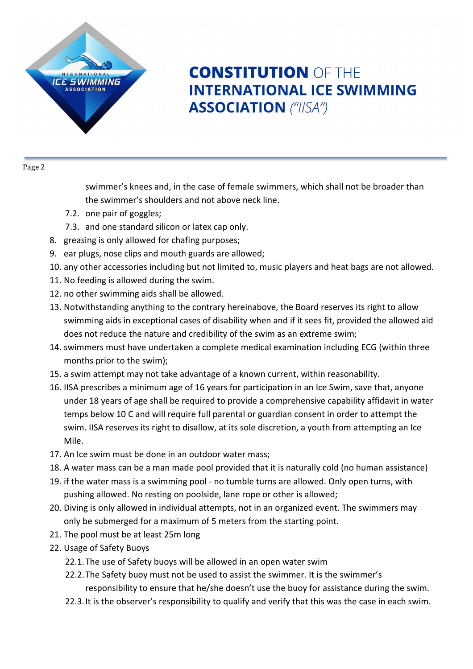

# **CONSTITUTION OF THE INTERNATIONAL ICE SWIMMING ASSOCIATION** ("IISA")

Page 2

swimmer's knees and, in the case of female swimmers, which shall not be broader than the swimmer's shoulders and not above neck line.

- 7.2. one pair of goggles;
- 7.3. and one standard silicon or latex cap only.
- 8. greasing is only allowed for chafing purposes;
- 9. ear plugs, nose clips and mouth guards are allowed;
- 10. any other accessories including but not limited to, music players and heat bags are not allowed.
- 11. No feeding is allowed during the swim.
- 12. no other swimming aids shall be allowed.
- 13. Notwithstanding anything to the contrary hereinabove, the Board reserves its right to allow swimming aids in exceptional cases of disability when and if it sees fit, provided the allowed aid does not reduce the nature and credibility of the swim as an extreme swim;
- 14. swimmers must have undertaken a complete medical examination including ECG (within three months prior to the swim);
- 15. a swim attempt may not take advantage of a known current, within reasonability.
- 16. IISA prescribes a minimum age of 16 years for participation in an Ice Swim, save that, anyone under 18 years of age shall be required to provide a comprehensive capability affidavit in water temps below 10 C and will require full parental or guardian consent in order to attempt the swim. IISA reserves its right to disallow, at its sole discretion, a youth from attempting an Ice Mile.
- 17. An Ice swim must be done in an outdoor water mass;
- 18. A water mass can be a man made pool provided that it is naturally cold (no human assistance)
- 19. if the water mass is a swimming pool no tumble turns are allowed. Only open turns, with pushing allowed. No resting on poolside, lane rope or other is allowed;
- 20. Diving is only allowed in individual attempts, not in an organized event. The swimmers may only be submerged for a maximum of 5 meters from the starting point.
- 21. The pool must be at least 25m long
- 22. Usage of Safety Buoys
	- 22.1. The use of Safety buoys will be allowed in an open water swim
	- 22.2. The Safety buoy must not be used to assist the swimmer. It is the swimmer's responsibility to ensure that he/she doesn't use the buoy for assistance during the swim.
	- 22.3. It is the observer's responsibility to qualify and verify that this was the case in each swim.